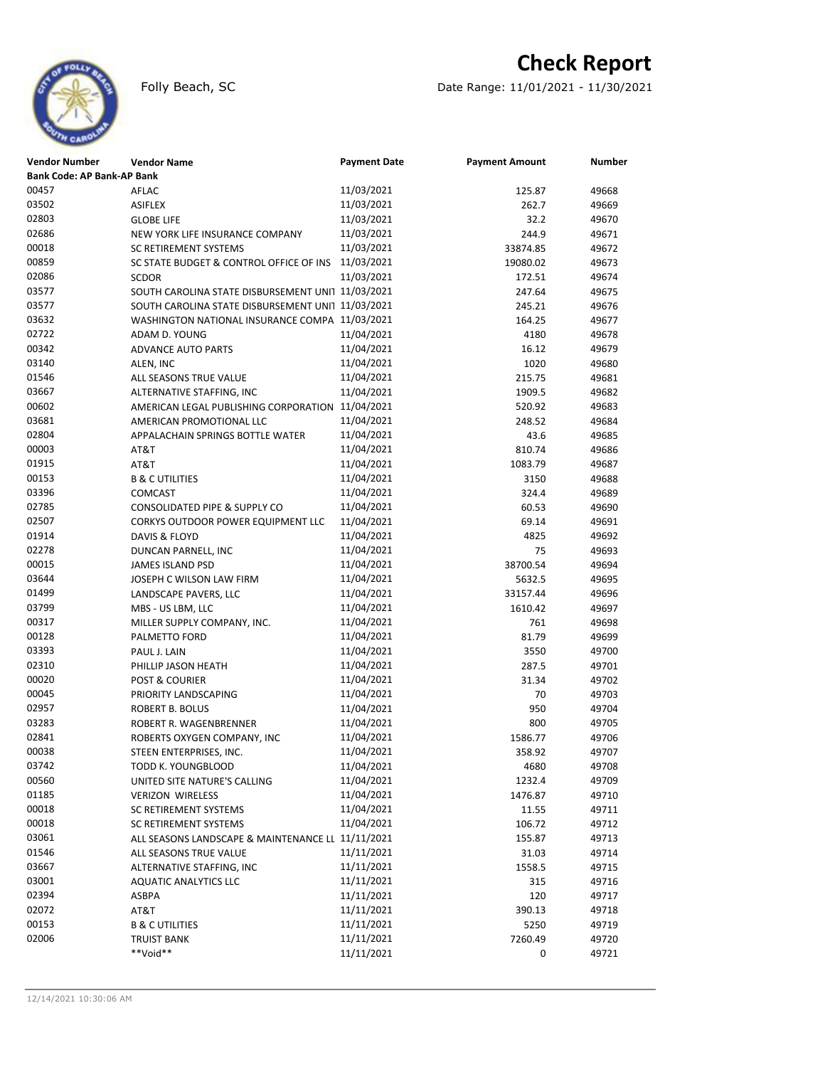

## **Check Report**

Folly Beach, SC Date Range: 11/01/2021 - 11/30/2021

| <b>Bank Code: AP Bank-AP Bank</b><br>00457<br>11/03/2021<br>AFLAC<br>49668<br>125.87<br>03502<br>11/03/2021<br>262.7<br><b>ASIFLEX</b><br>49669<br>02803<br>11/03/2021<br><b>GLOBE LIFE</b><br>32.2<br>49670<br>02686<br>11/03/2021<br>244.9<br>49671<br>NEW YORK LIFE INSURANCE COMPANY<br>11/03/2021<br>SC RETIREMENT SYSTEMS<br>33874.85<br>49672<br>00859<br>11/03/2021<br>19080.02<br>49673<br>SC STATE BUDGET & CONTROL OFFICE OF INS<br>02086<br>11/03/2021<br><b>SCDOR</b><br>172.51<br>49674<br>03577<br>SOUTH CAROLINA STATE DISBURSEMENT UNI1 11/03/2021<br>247.64<br>49675<br>03577<br>SOUTH CAROLINA STATE DISBURSEMENT UNI1 11/03/2021<br>245.21<br>49676<br>03632<br>WASHINGTON NATIONAL INSURANCE COMPA 11/03/2021<br>164.25<br>49677<br>02722<br>11/04/2021<br>ADAM D. YOUNG<br>4180<br>49678<br>00342<br>11/04/2021<br>16.12<br>49679<br><b>ADVANCE AUTO PARTS</b><br>03140<br>11/04/2021<br>1020<br>49680<br>ALEN, INC<br>01546<br>11/04/2021<br>215.75<br>49681<br>ALL SEASONS TRUE VALUE<br>03667<br>11/04/2021<br>ALTERNATIVE STAFFING, INC<br>1909.5<br>49682<br>00602<br>11/04/2021<br>520.92<br>49683<br>AMERICAN LEGAL PUBLISHING CORPORATION<br>03681<br>11/04/2021<br>AMERICAN PROMOTIONAL LLC<br>248.52<br>49684<br>02804<br>11/04/2021<br>43.6<br>49685<br>APPALACHAIN SPRINGS BOTTLE WATER<br>00003<br>11/04/2021<br>AT&T<br>810.74<br>49686<br>01915<br>11/04/2021<br>AT&T<br>1083.79<br>49687<br>00153<br>11/04/2021<br><b>B &amp; C UTILITIES</b><br>3150<br>49688<br>03396<br>11/04/2021<br>COMCAST<br>324.4<br>49689<br>02785<br>11/04/2021<br>60.53<br>49690<br>CONSOLIDATED PIPE & SUPPLY CO<br>02507<br>11/04/2021<br>CORKYS OUTDOOR POWER EQUIPMENT LLC<br>69.14<br>49691<br>01914<br>11/04/2021<br>DAVIS & FLOYD<br>4825<br>49692<br>02278<br>11/04/2021<br>75<br>DUNCAN PARNELL, INC<br>49693<br>00015<br>11/04/2021<br>38700.54<br><b>JAMES ISLAND PSD</b><br>49694<br>03644<br>11/04/2021<br>JOSEPH C WILSON LAW FIRM<br>5632.5<br>49695<br>01499<br>11/04/2021<br>LANDSCAPE PAVERS, LLC<br>33157.44<br>49696<br>03799<br>11/04/2021<br>MBS - US LBM, LLC<br>1610.42<br>49697<br>00317<br>11/04/2021<br>MILLER SUPPLY COMPANY, INC.<br>761<br>49698<br>00128<br>11/04/2021<br>81.79<br>49699<br>PALMETTO FORD<br>03393<br>11/04/2021<br>3550<br>49700<br>PAUL J. LAIN<br>02310<br>11/04/2021<br>287.5<br>49701<br>PHILLIP JASON HEATH<br>00020<br>11/04/2021<br>31.34<br>49702<br><b>POST &amp; COURIER</b><br>00045<br>11/04/2021<br>PRIORITY LANDSCAPING<br>70<br>49703<br>02957<br>11/04/2021<br>950<br>49704<br><b>ROBERT B. BOLUS</b><br>03283<br>11/04/2021<br>ROBERT R. WAGENBRENNER<br>800<br>49705<br>02841<br>11/04/2021<br>1586.77<br>49706<br>ROBERTS OXYGEN COMPANY, INC<br>00038<br>11/04/2021<br>STEEN ENTERPRISES, INC.<br>358.92<br>49707<br>03742<br>11/04/2021<br>49708<br>4680<br>TODD K. YOUNGBLOOD<br>00560<br>11/04/2021<br>UNITED SITE NATURE'S CALLING<br>1232.4<br>49709<br>01185<br>11/04/2021<br>1476.87<br>49710<br><b>VERIZON WIRELESS</b><br>11/04/2021<br>00018<br>SC RETIREMENT SYSTEMS<br>11.55<br>49711<br>00018<br>11/04/2021<br>49712<br>SC RETIREMENT SYSTEMS<br>106.72<br>03061<br>ALL SEASONS LANDSCAPE & MAINTENANCE LL 11/11/2021<br>155.87<br>49713<br>11/11/2021<br>01546<br>31.03<br>49714<br>ALL SEASONS TRUE VALUE<br>03667<br>11/11/2021<br>ALTERNATIVE STAFFING, INC<br>1558.5<br>49715<br>03001<br>11/11/2021<br>315<br>49716<br>AQUATIC ANALYTICS LLC<br>02394<br>11/11/2021<br>ASBPA<br>120<br>49717<br>11/11/2021<br>390.13<br>49718<br>AT&T<br>11/11/2021<br><b>B &amp; C UTILITIES</b><br>5250<br>49719<br>02006<br>11/11/2021<br>7260.49<br>49720<br><b>TRUIST BANK</b><br>**Void**<br>11/11/2021<br>0<br>49721 | <b>Vendor Number</b> | <b>Vendor Name</b> | <b>Payment Date</b> | <b>Payment Amount</b> | <b>Number</b> |  |  |  |
|---------------------------------------------------------------------------------------------------------------------------------------------------------------------------------------------------------------------------------------------------------------------------------------------------------------------------------------------------------------------------------------------------------------------------------------------------------------------------------------------------------------------------------------------------------------------------------------------------------------------------------------------------------------------------------------------------------------------------------------------------------------------------------------------------------------------------------------------------------------------------------------------------------------------------------------------------------------------------------------------------------------------------------------------------------------------------------------------------------------------------------------------------------------------------------------------------------------------------------------------------------------------------------------------------------------------------------------------------------------------------------------------------------------------------------------------------------------------------------------------------------------------------------------------------------------------------------------------------------------------------------------------------------------------------------------------------------------------------------------------------------------------------------------------------------------------------------------------------------------------------------------------------------------------------------------------------------------------------------------------------------------------------------------------------------------------------------------------------------------------------------------------------------------------------------------------------------------------------------------------------------------------------------------------------------------------------------------------------------------------------------------------------------------------------------------------------------------------------------------------------------------------------------------------------------------------------------------------------------------------------------------------------------------------------------------------------------------------------------------------------------------------------------------------------------------------------------------------------------------------------------------------------------------------------------------------------------------------------------------------------------------------------------------------------------------------------------------------------------------------------------------------------------------------------------------------------------------------------------------------------------------------------------------------------------------------------------------------------------------------------------------------------------------------------------------------------------------------------------------------------------------------------------------------------------------------------------------------------------------------------------------------------------------------------------------------------------------------|----------------------|--------------------|---------------------|-----------------------|---------------|--|--|--|
|                                                                                                                                                                                                                                                                                                                                                                                                                                                                                                                                                                                                                                                                                                                                                                                                                                                                                                                                                                                                                                                                                                                                                                                                                                                                                                                                                                                                                                                                                                                                                                                                                                                                                                                                                                                                                                                                                                                                                                                                                                                                                                                                                                                                                                                                                                                                                                                                                                                                                                                                                                                                                                                                                                                                                                                                                                                                                                                                                                                                                                                                                                                                                                                                                                                                                                                                                                                                                                                                                                                                                                                                                                                                                                                     |                      |                    |                     |                       |               |  |  |  |
|                                                                                                                                                                                                                                                                                                                                                                                                                                                                                                                                                                                                                                                                                                                                                                                                                                                                                                                                                                                                                                                                                                                                                                                                                                                                                                                                                                                                                                                                                                                                                                                                                                                                                                                                                                                                                                                                                                                                                                                                                                                                                                                                                                                                                                                                                                                                                                                                                                                                                                                                                                                                                                                                                                                                                                                                                                                                                                                                                                                                                                                                                                                                                                                                                                                                                                                                                                                                                                                                                                                                                                                                                                                                                                                     |                      |                    |                     |                       |               |  |  |  |
|                                                                                                                                                                                                                                                                                                                                                                                                                                                                                                                                                                                                                                                                                                                                                                                                                                                                                                                                                                                                                                                                                                                                                                                                                                                                                                                                                                                                                                                                                                                                                                                                                                                                                                                                                                                                                                                                                                                                                                                                                                                                                                                                                                                                                                                                                                                                                                                                                                                                                                                                                                                                                                                                                                                                                                                                                                                                                                                                                                                                                                                                                                                                                                                                                                                                                                                                                                                                                                                                                                                                                                                                                                                                                                                     |                      |                    |                     |                       |               |  |  |  |
|                                                                                                                                                                                                                                                                                                                                                                                                                                                                                                                                                                                                                                                                                                                                                                                                                                                                                                                                                                                                                                                                                                                                                                                                                                                                                                                                                                                                                                                                                                                                                                                                                                                                                                                                                                                                                                                                                                                                                                                                                                                                                                                                                                                                                                                                                                                                                                                                                                                                                                                                                                                                                                                                                                                                                                                                                                                                                                                                                                                                                                                                                                                                                                                                                                                                                                                                                                                                                                                                                                                                                                                                                                                                                                                     |                      |                    |                     |                       |               |  |  |  |
|                                                                                                                                                                                                                                                                                                                                                                                                                                                                                                                                                                                                                                                                                                                                                                                                                                                                                                                                                                                                                                                                                                                                                                                                                                                                                                                                                                                                                                                                                                                                                                                                                                                                                                                                                                                                                                                                                                                                                                                                                                                                                                                                                                                                                                                                                                                                                                                                                                                                                                                                                                                                                                                                                                                                                                                                                                                                                                                                                                                                                                                                                                                                                                                                                                                                                                                                                                                                                                                                                                                                                                                                                                                                                                                     |                      |                    |                     |                       |               |  |  |  |
|                                                                                                                                                                                                                                                                                                                                                                                                                                                                                                                                                                                                                                                                                                                                                                                                                                                                                                                                                                                                                                                                                                                                                                                                                                                                                                                                                                                                                                                                                                                                                                                                                                                                                                                                                                                                                                                                                                                                                                                                                                                                                                                                                                                                                                                                                                                                                                                                                                                                                                                                                                                                                                                                                                                                                                                                                                                                                                                                                                                                                                                                                                                                                                                                                                                                                                                                                                                                                                                                                                                                                                                                                                                                                                                     | 00018                |                    |                     |                       |               |  |  |  |
|                                                                                                                                                                                                                                                                                                                                                                                                                                                                                                                                                                                                                                                                                                                                                                                                                                                                                                                                                                                                                                                                                                                                                                                                                                                                                                                                                                                                                                                                                                                                                                                                                                                                                                                                                                                                                                                                                                                                                                                                                                                                                                                                                                                                                                                                                                                                                                                                                                                                                                                                                                                                                                                                                                                                                                                                                                                                                                                                                                                                                                                                                                                                                                                                                                                                                                                                                                                                                                                                                                                                                                                                                                                                                                                     |                      |                    |                     |                       |               |  |  |  |
|                                                                                                                                                                                                                                                                                                                                                                                                                                                                                                                                                                                                                                                                                                                                                                                                                                                                                                                                                                                                                                                                                                                                                                                                                                                                                                                                                                                                                                                                                                                                                                                                                                                                                                                                                                                                                                                                                                                                                                                                                                                                                                                                                                                                                                                                                                                                                                                                                                                                                                                                                                                                                                                                                                                                                                                                                                                                                                                                                                                                                                                                                                                                                                                                                                                                                                                                                                                                                                                                                                                                                                                                                                                                                                                     |                      |                    |                     |                       |               |  |  |  |
|                                                                                                                                                                                                                                                                                                                                                                                                                                                                                                                                                                                                                                                                                                                                                                                                                                                                                                                                                                                                                                                                                                                                                                                                                                                                                                                                                                                                                                                                                                                                                                                                                                                                                                                                                                                                                                                                                                                                                                                                                                                                                                                                                                                                                                                                                                                                                                                                                                                                                                                                                                                                                                                                                                                                                                                                                                                                                                                                                                                                                                                                                                                                                                                                                                                                                                                                                                                                                                                                                                                                                                                                                                                                                                                     |                      |                    |                     |                       |               |  |  |  |
|                                                                                                                                                                                                                                                                                                                                                                                                                                                                                                                                                                                                                                                                                                                                                                                                                                                                                                                                                                                                                                                                                                                                                                                                                                                                                                                                                                                                                                                                                                                                                                                                                                                                                                                                                                                                                                                                                                                                                                                                                                                                                                                                                                                                                                                                                                                                                                                                                                                                                                                                                                                                                                                                                                                                                                                                                                                                                                                                                                                                                                                                                                                                                                                                                                                                                                                                                                                                                                                                                                                                                                                                                                                                                                                     |                      |                    |                     |                       |               |  |  |  |
|                                                                                                                                                                                                                                                                                                                                                                                                                                                                                                                                                                                                                                                                                                                                                                                                                                                                                                                                                                                                                                                                                                                                                                                                                                                                                                                                                                                                                                                                                                                                                                                                                                                                                                                                                                                                                                                                                                                                                                                                                                                                                                                                                                                                                                                                                                                                                                                                                                                                                                                                                                                                                                                                                                                                                                                                                                                                                                                                                                                                                                                                                                                                                                                                                                                                                                                                                                                                                                                                                                                                                                                                                                                                                                                     |                      |                    |                     |                       |               |  |  |  |
|                                                                                                                                                                                                                                                                                                                                                                                                                                                                                                                                                                                                                                                                                                                                                                                                                                                                                                                                                                                                                                                                                                                                                                                                                                                                                                                                                                                                                                                                                                                                                                                                                                                                                                                                                                                                                                                                                                                                                                                                                                                                                                                                                                                                                                                                                                                                                                                                                                                                                                                                                                                                                                                                                                                                                                                                                                                                                                                                                                                                                                                                                                                                                                                                                                                                                                                                                                                                                                                                                                                                                                                                                                                                                                                     |                      |                    |                     |                       |               |  |  |  |
|                                                                                                                                                                                                                                                                                                                                                                                                                                                                                                                                                                                                                                                                                                                                                                                                                                                                                                                                                                                                                                                                                                                                                                                                                                                                                                                                                                                                                                                                                                                                                                                                                                                                                                                                                                                                                                                                                                                                                                                                                                                                                                                                                                                                                                                                                                                                                                                                                                                                                                                                                                                                                                                                                                                                                                                                                                                                                                                                                                                                                                                                                                                                                                                                                                                                                                                                                                                                                                                                                                                                                                                                                                                                                                                     |                      |                    |                     |                       |               |  |  |  |
|                                                                                                                                                                                                                                                                                                                                                                                                                                                                                                                                                                                                                                                                                                                                                                                                                                                                                                                                                                                                                                                                                                                                                                                                                                                                                                                                                                                                                                                                                                                                                                                                                                                                                                                                                                                                                                                                                                                                                                                                                                                                                                                                                                                                                                                                                                                                                                                                                                                                                                                                                                                                                                                                                                                                                                                                                                                                                                                                                                                                                                                                                                                                                                                                                                                                                                                                                                                                                                                                                                                                                                                                                                                                                                                     |                      |                    |                     |                       |               |  |  |  |
|                                                                                                                                                                                                                                                                                                                                                                                                                                                                                                                                                                                                                                                                                                                                                                                                                                                                                                                                                                                                                                                                                                                                                                                                                                                                                                                                                                                                                                                                                                                                                                                                                                                                                                                                                                                                                                                                                                                                                                                                                                                                                                                                                                                                                                                                                                                                                                                                                                                                                                                                                                                                                                                                                                                                                                                                                                                                                                                                                                                                                                                                                                                                                                                                                                                                                                                                                                                                                                                                                                                                                                                                                                                                                                                     |                      |                    |                     |                       |               |  |  |  |
|                                                                                                                                                                                                                                                                                                                                                                                                                                                                                                                                                                                                                                                                                                                                                                                                                                                                                                                                                                                                                                                                                                                                                                                                                                                                                                                                                                                                                                                                                                                                                                                                                                                                                                                                                                                                                                                                                                                                                                                                                                                                                                                                                                                                                                                                                                                                                                                                                                                                                                                                                                                                                                                                                                                                                                                                                                                                                                                                                                                                                                                                                                                                                                                                                                                                                                                                                                                                                                                                                                                                                                                                                                                                                                                     |                      |                    |                     |                       |               |  |  |  |
|                                                                                                                                                                                                                                                                                                                                                                                                                                                                                                                                                                                                                                                                                                                                                                                                                                                                                                                                                                                                                                                                                                                                                                                                                                                                                                                                                                                                                                                                                                                                                                                                                                                                                                                                                                                                                                                                                                                                                                                                                                                                                                                                                                                                                                                                                                                                                                                                                                                                                                                                                                                                                                                                                                                                                                                                                                                                                                                                                                                                                                                                                                                                                                                                                                                                                                                                                                                                                                                                                                                                                                                                                                                                                                                     |                      |                    |                     |                       |               |  |  |  |
|                                                                                                                                                                                                                                                                                                                                                                                                                                                                                                                                                                                                                                                                                                                                                                                                                                                                                                                                                                                                                                                                                                                                                                                                                                                                                                                                                                                                                                                                                                                                                                                                                                                                                                                                                                                                                                                                                                                                                                                                                                                                                                                                                                                                                                                                                                                                                                                                                                                                                                                                                                                                                                                                                                                                                                                                                                                                                                                                                                                                                                                                                                                                                                                                                                                                                                                                                                                                                                                                                                                                                                                                                                                                                                                     |                      |                    |                     |                       |               |  |  |  |
|                                                                                                                                                                                                                                                                                                                                                                                                                                                                                                                                                                                                                                                                                                                                                                                                                                                                                                                                                                                                                                                                                                                                                                                                                                                                                                                                                                                                                                                                                                                                                                                                                                                                                                                                                                                                                                                                                                                                                                                                                                                                                                                                                                                                                                                                                                                                                                                                                                                                                                                                                                                                                                                                                                                                                                                                                                                                                                                                                                                                                                                                                                                                                                                                                                                                                                                                                                                                                                                                                                                                                                                                                                                                                                                     |                      |                    |                     |                       |               |  |  |  |
|                                                                                                                                                                                                                                                                                                                                                                                                                                                                                                                                                                                                                                                                                                                                                                                                                                                                                                                                                                                                                                                                                                                                                                                                                                                                                                                                                                                                                                                                                                                                                                                                                                                                                                                                                                                                                                                                                                                                                                                                                                                                                                                                                                                                                                                                                                                                                                                                                                                                                                                                                                                                                                                                                                                                                                                                                                                                                                                                                                                                                                                                                                                                                                                                                                                                                                                                                                                                                                                                                                                                                                                                                                                                                                                     |                      |                    |                     |                       |               |  |  |  |
|                                                                                                                                                                                                                                                                                                                                                                                                                                                                                                                                                                                                                                                                                                                                                                                                                                                                                                                                                                                                                                                                                                                                                                                                                                                                                                                                                                                                                                                                                                                                                                                                                                                                                                                                                                                                                                                                                                                                                                                                                                                                                                                                                                                                                                                                                                                                                                                                                                                                                                                                                                                                                                                                                                                                                                                                                                                                                                                                                                                                                                                                                                                                                                                                                                                                                                                                                                                                                                                                                                                                                                                                                                                                                                                     |                      |                    |                     |                       |               |  |  |  |
|                                                                                                                                                                                                                                                                                                                                                                                                                                                                                                                                                                                                                                                                                                                                                                                                                                                                                                                                                                                                                                                                                                                                                                                                                                                                                                                                                                                                                                                                                                                                                                                                                                                                                                                                                                                                                                                                                                                                                                                                                                                                                                                                                                                                                                                                                                                                                                                                                                                                                                                                                                                                                                                                                                                                                                                                                                                                                                                                                                                                                                                                                                                                                                                                                                                                                                                                                                                                                                                                                                                                                                                                                                                                                                                     |                      |                    |                     |                       |               |  |  |  |
|                                                                                                                                                                                                                                                                                                                                                                                                                                                                                                                                                                                                                                                                                                                                                                                                                                                                                                                                                                                                                                                                                                                                                                                                                                                                                                                                                                                                                                                                                                                                                                                                                                                                                                                                                                                                                                                                                                                                                                                                                                                                                                                                                                                                                                                                                                                                                                                                                                                                                                                                                                                                                                                                                                                                                                                                                                                                                                                                                                                                                                                                                                                                                                                                                                                                                                                                                                                                                                                                                                                                                                                                                                                                                                                     |                      |                    |                     |                       |               |  |  |  |
|                                                                                                                                                                                                                                                                                                                                                                                                                                                                                                                                                                                                                                                                                                                                                                                                                                                                                                                                                                                                                                                                                                                                                                                                                                                                                                                                                                                                                                                                                                                                                                                                                                                                                                                                                                                                                                                                                                                                                                                                                                                                                                                                                                                                                                                                                                                                                                                                                                                                                                                                                                                                                                                                                                                                                                                                                                                                                                                                                                                                                                                                                                                                                                                                                                                                                                                                                                                                                                                                                                                                                                                                                                                                                                                     |                      |                    |                     |                       |               |  |  |  |
|                                                                                                                                                                                                                                                                                                                                                                                                                                                                                                                                                                                                                                                                                                                                                                                                                                                                                                                                                                                                                                                                                                                                                                                                                                                                                                                                                                                                                                                                                                                                                                                                                                                                                                                                                                                                                                                                                                                                                                                                                                                                                                                                                                                                                                                                                                                                                                                                                                                                                                                                                                                                                                                                                                                                                                                                                                                                                                                                                                                                                                                                                                                                                                                                                                                                                                                                                                                                                                                                                                                                                                                                                                                                                                                     |                      |                    |                     |                       |               |  |  |  |
|                                                                                                                                                                                                                                                                                                                                                                                                                                                                                                                                                                                                                                                                                                                                                                                                                                                                                                                                                                                                                                                                                                                                                                                                                                                                                                                                                                                                                                                                                                                                                                                                                                                                                                                                                                                                                                                                                                                                                                                                                                                                                                                                                                                                                                                                                                                                                                                                                                                                                                                                                                                                                                                                                                                                                                                                                                                                                                                                                                                                                                                                                                                                                                                                                                                                                                                                                                                                                                                                                                                                                                                                                                                                                                                     |                      |                    |                     |                       |               |  |  |  |
|                                                                                                                                                                                                                                                                                                                                                                                                                                                                                                                                                                                                                                                                                                                                                                                                                                                                                                                                                                                                                                                                                                                                                                                                                                                                                                                                                                                                                                                                                                                                                                                                                                                                                                                                                                                                                                                                                                                                                                                                                                                                                                                                                                                                                                                                                                                                                                                                                                                                                                                                                                                                                                                                                                                                                                                                                                                                                                                                                                                                                                                                                                                                                                                                                                                                                                                                                                                                                                                                                                                                                                                                                                                                                                                     |                      |                    |                     |                       |               |  |  |  |
|                                                                                                                                                                                                                                                                                                                                                                                                                                                                                                                                                                                                                                                                                                                                                                                                                                                                                                                                                                                                                                                                                                                                                                                                                                                                                                                                                                                                                                                                                                                                                                                                                                                                                                                                                                                                                                                                                                                                                                                                                                                                                                                                                                                                                                                                                                                                                                                                                                                                                                                                                                                                                                                                                                                                                                                                                                                                                                                                                                                                                                                                                                                                                                                                                                                                                                                                                                                                                                                                                                                                                                                                                                                                                                                     |                      |                    |                     |                       |               |  |  |  |
|                                                                                                                                                                                                                                                                                                                                                                                                                                                                                                                                                                                                                                                                                                                                                                                                                                                                                                                                                                                                                                                                                                                                                                                                                                                                                                                                                                                                                                                                                                                                                                                                                                                                                                                                                                                                                                                                                                                                                                                                                                                                                                                                                                                                                                                                                                                                                                                                                                                                                                                                                                                                                                                                                                                                                                                                                                                                                                                                                                                                                                                                                                                                                                                                                                                                                                                                                                                                                                                                                                                                                                                                                                                                                                                     |                      |                    |                     |                       |               |  |  |  |
|                                                                                                                                                                                                                                                                                                                                                                                                                                                                                                                                                                                                                                                                                                                                                                                                                                                                                                                                                                                                                                                                                                                                                                                                                                                                                                                                                                                                                                                                                                                                                                                                                                                                                                                                                                                                                                                                                                                                                                                                                                                                                                                                                                                                                                                                                                                                                                                                                                                                                                                                                                                                                                                                                                                                                                                                                                                                                                                                                                                                                                                                                                                                                                                                                                                                                                                                                                                                                                                                                                                                                                                                                                                                                                                     |                      |                    |                     |                       |               |  |  |  |
|                                                                                                                                                                                                                                                                                                                                                                                                                                                                                                                                                                                                                                                                                                                                                                                                                                                                                                                                                                                                                                                                                                                                                                                                                                                                                                                                                                                                                                                                                                                                                                                                                                                                                                                                                                                                                                                                                                                                                                                                                                                                                                                                                                                                                                                                                                                                                                                                                                                                                                                                                                                                                                                                                                                                                                                                                                                                                                                                                                                                                                                                                                                                                                                                                                                                                                                                                                                                                                                                                                                                                                                                                                                                                                                     |                      |                    |                     |                       |               |  |  |  |
|                                                                                                                                                                                                                                                                                                                                                                                                                                                                                                                                                                                                                                                                                                                                                                                                                                                                                                                                                                                                                                                                                                                                                                                                                                                                                                                                                                                                                                                                                                                                                                                                                                                                                                                                                                                                                                                                                                                                                                                                                                                                                                                                                                                                                                                                                                                                                                                                                                                                                                                                                                                                                                                                                                                                                                                                                                                                                                                                                                                                                                                                                                                                                                                                                                                                                                                                                                                                                                                                                                                                                                                                                                                                                                                     |                      |                    |                     |                       |               |  |  |  |
|                                                                                                                                                                                                                                                                                                                                                                                                                                                                                                                                                                                                                                                                                                                                                                                                                                                                                                                                                                                                                                                                                                                                                                                                                                                                                                                                                                                                                                                                                                                                                                                                                                                                                                                                                                                                                                                                                                                                                                                                                                                                                                                                                                                                                                                                                                                                                                                                                                                                                                                                                                                                                                                                                                                                                                                                                                                                                                                                                                                                                                                                                                                                                                                                                                                                                                                                                                                                                                                                                                                                                                                                                                                                                                                     |                      |                    |                     |                       |               |  |  |  |
|                                                                                                                                                                                                                                                                                                                                                                                                                                                                                                                                                                                                                                                                                                                                                                                                                                                                                                                                                                                                                                                                                                                                                                                                                                                                                                                                                                                                                                                                                                                                                                                                                                                                                                                                                                                                                                                                                                                                                                                                                                                                                                                                                                                                                                                                                                                                                                                                                                                                                                                                                                                                                                                                                                                                                                                                                                                                                                                                                                                                                                                                                                                                                                                                                                                                                                                                                                                                                                                                                                                                                                                                                                                                                                                     |                      |                    |                     |                       |               |  |  |  |
|                                                                                                                                                                                                                                                                                                                                                                                                                                                                                                                                                                                                                                                                                                                                                                                                                                                                                                                                                                                                                                                                                                                                                                                                                                                                                                                                                                                                                                                                                                                                                                                                                                                                                                                                                                                                                                                                                                                                                                                                                                                                                                                                                                                                                                                                                                                                                                                                                                                                                                                                                                                                                                                                                                                                                                                                                                                                                                                                                                                                                                                                                                                                                                                                                                                                                                                                                                                                                                                                                                                                                                                                                                                                                                                     |                      |                    |                     |                       |               |  |  |  |
|                                                                                                                                                                                                                                                                                                                                                                                                                                                                                                                                                                                                                                                                                                                                                                                                                                                                                                                                                                                                                                                                                                                                                                                                                                                                                                                                                                                                                                                                                                                                                                                                                                                                                                                                                                                                                                                                                                                                                                                                                                                                                                                                                                                                                                                                                                                                                                                                                                                                                                                                                                                                                                                                                                                                                                                                                                                                                                                                                                                                                                                                                                                                                                                                                                                                                                                                                                                                                                                                                                                                                                                                                                                                                                                     |                      |                    |                     |                       |               |  |  |  |
|                                                                                                                                                                                                                                                                                                                                                                                                                                                                                                                                                                                                                                                                                                                                                                                                                                                                                                                                                                                                                                                                                                                                                                                                                                                                                                                                                                                                                                                                                                                                                                                                                                                                                                                                                                                                                                                                                                                                                                                                                                                                                                                                                                                                                                                                                                                                                                                                                                                                                                                                                                                                                                                                                                                                                                                                                                                                                                                                                                                                                                                                                                                                                                                                                                                                                                                                                                                                                                                                                                                                                                                                                                                                                                                     |                      |                    |                     |                       |               |  |  |  |
|                                                                                                                                                                                                                                                                                                                                                                                                                                                                                                                                                                                                                                                                                                                                                                                                                                                                                                                                                                                                                                                                                                                                                                                                                                                                                                                                                                                                                                                                                                                                                                                                                                                                                                                                                                                                                                                                                                                                                                                                                                                                                                                                                                                                                                                                                                                                                                                                                                                                                                                                                                                                                                                                                                                                                                                                                                                                                                                                                                                                                                                                                                                                                                                                                                                                                                                                                                                                                                                                                                                                                                                                                                                                                                                     |                      |                    |                     |                       |               |  |  |  |
|                                                                                                                                                                                                                                                                                                                                                                                                                                                                                                                                                                                                                                                                                                                                                                                                                                                                                                                                                                                                                                                                                                                                                                                                                                                                                                                                                                                                                                                                                                                                                                                                                                                                                                                                                                                                                                                                                                                                                                                                                                                                                                                                                                                                                                                                                                                                                                                                                                                                                                                                                                                                                                                                                                                                                                                                                                                                                                                                                                                                                                                                                                                                                                                                                                                                                                                                                                                                                                                                                                                                                                                                                                                                                                                     |                      |                    |                     |                       |               |  |  |  |
|                                                                                                                                                                                                                                                                                                                                                                                                                                                                                                                                                                                                                                                                                                                                                                                                                                                                                                                                                                                                                                                                                                                                                                                                                                                                                                                                                                                                                                                                                                                                                                                                                                                                                                                                                                                                                                                                                                                                                                                                                                                                                                                                                                                                                                                                                                                                                                                                                                                                                                                                                                                                                                                                                                                                                                                                                                                                                                                                                                                                                                                                                                                                                                                                                                                                                                                                                                                                                                                                                                                                                                                                                                                                                                                     |                      |                    |                     |                       |               |  |  |  |
|                                                                                                                                                                                                                                                                                                                                                                                                                                                                                                                                                                                                                                                                                                                                                                                                                                                                                                                                                                                                                                                                                                                                                                                                                                                                                                                                                                                                                                                                                                                                                                                                                                                                                                                                                                                                                                                                                                                                                                                                                                                                                                                                                                                                                                                                                                                                                                                                                                                                                                                                                                                                                                                                                                                                                                                                                                                                                                                                                                                                                                                                                                                                                                                                                                                                                                                                                                                                                                                                                                                                                                                                                                                                                                                     |                      |                    |                     |                       |               |  |  |  |
|                                                                                                                                                                                                                                                                                                                                                                                                                                                                                                                                                                                                                                                                                                                                                                                                                                                                                                                                                                                                                                                                                                                                                                                                                                                                                                                                                                                                                                                                                                                                                                                                                                                                                                                                                                                                                                                                                                                                                                                                                                                                                                                                                                                                                                                                                                                                                                                                                                                                                                                                                                                                                                                                                                                                                                                                                                                                                                                                                                                                                                                                                                                                                                                                                                                                                                                                                                                                                                                                                                                                                                                                                                                                                                                     |                      |                    |                     |                       |               |  |  |  |
|                                                                                                                                                                                                                                                                                                                                                                                                                                                                                                                                                                                                                                                                                                                                                                                                                                                                                                                                                                                                                                                                                                                                                                                                                                                                                                                                                                                                                                                                                                                                                                                                                                                                                                                                                                                                                                                                                                                                                                                                                                                                                                                                                                                                                                                                                                                                                                                                                                                                                                                                                                                                                                                                                                                                                                                                                                                                                                                                                                                                                                                                                                                                                                                                                                                                                                                                                                                                                                                                                                                                                                                                                                                                                                                     |                      |                    |                     |                       |               |  |  |  |
|                                                                                                                                                                                                                                                                                                                                                                                                                                                                                                                                                                                                                                                                                                                                                                                                                                                                                                                                                                                                                                                                                                                                                                                                                                                                                                                                                                                                                                                                                                                                                                                                                                                                                                                                                                                                                                                                                                                                                                                                                                                                                                                                                                                                                                                                                                                                                                                                                                                                                                                                                                                                                                                                                                                                                                                                                                                                                                                                                                                                                                                                                                                                                                                                                                                                                                                                                                                                                                                                                                                                                                                                                                                                                                                     |                      |                    |                     |                       |               |  |  |  |
|                                                                                                                                                                                                                                                                                                                                                                                                                                                                                                                                                                                                                                                                                                                                                                                                                                                                                                                                                                                                                                                                                                                                                                                                                                                                                                                                                                                                                                                                                                                                                                                                                                                                                                                                                                                                                                                                                                                                                                                                                                                                                                                                                                                                                                                                                                                                                                                                                                                                                                                                                                                                                                                                                                                                                                                                                                                                                                                                                                                                                                                                                                                                                                                                                                                                                                                                                                                                                                                                                                                                                                                                                                                                                                                     |                      |                    |                     |                       |               |  |  |  |
|                                                                                                                                                                                                                                                                                                                                                                                                                                                                                                                                                                                                                                                                                                                                                                                                                                                                                                                                                                                                                                                                                                                                                                                                                                                                                                                                                                                                                                                                                                                                                                                                                                                                                                                                                                                                                                                                                                                                                                                                                                                                                                                                                                                                                                                                                                                                                                                                                                                                                                                                                                                                                                                                                                                                                                                                                                                                                                                                                                                                                                                                                                                                                                                                                                                                                                                                                                                                                                                                                                                                                                                                                                                                                                                     |                      |                    |                     |                       |               |  |  |  |
|                                                                                                                                                                                                                                                                                                                                                                                                                                                                                                                                                                                                                                                                                                                                                                                                                                                                                                                                                                                                                                                                                                                                                                                                                                                                                                                                                                                                                                                                                                                                                                                                                                                                                                                                                                                                                                                                                                                                                                                                                                                                                                                                                                                                                                                                                                                                                                                                                                                                                                                                                                                                                                                                                                                                                                                                                                                                                                                                                                                                                                                                                                                                                                                                                                                                                                                                                                                                                                                                                                                                                                                                                                                                                                                     |                      |                    |                     |                       |               |  |  |  |
|                                                                                                                                                                                                                                                                                                                                                                                                                                                                                                                                                                                                                                                                                                                                                                                                                                                                                                                                                                                                                                                                                                                                                                                                                                                                                                                                                                                                                                                                                                                                                                                                                                                                                                                                                                                                                                                                                                                                                                                                                                                                                                                                                                                                                                                                                                                                                                                                                                                                                                                                                                                                                                                                                                                                                                                                                                                                                                                                                                                                                                                                                                                                                                                                                                                                                                                                                                                                                                                                                                                                                                                                                                                                                                                     |                      |                    |                     |                       |               |  |  |  |
|                                                                                                                                                                                                                                                                                                                                                                                                                                                                                                                                                                                                                                                                                                                                                                                                                                                                                                                                                                                                                                                                                                                                                                                                                                                                                                                                                                                                                                                                                                                                                                                                                                                                                                                                                                                                                                                                                                                                                                                                                                                                                                                                                                                                                                                                                                                                                                                                                                                                                                                                                                                                                                                                                                                                                                                                                                                                                                                                                                                                                                                                                                                                                                                                                                                                                                                                                                                                                                                                                                                                                                                                                                                                                                                     |                      |                    |                     |                       |               |  |  |  |
|                                                                                                                                                                                                                                                                                                                                                                                                                                                                                                                                                                                                                                                                                                                                                                                                                                                                                                                                                                                                                                                                                                                                                                                                                                                                                                                                                                                                                                                                                                                                                                                                                                                                                                                                                                                                                                                                                                                                                                                                                                                                                                                                                                                                                                                                                                                                                                                                                                                                                                                                                                                                                                                                                                                                                                                                                                                                                                                                                                                                                                                                                                                                                                                                                                                                                                                                                                                                                                                                                                                                                                                                                                                                                                                     |                      |                    |                     |                       |               |  |  |  |
|                                                                                                                                                                                                                                                                                                                                                                                                                                                                                                                                                                                                                                                                                                                                                                                                                                                                                                                                                                                                                                                                                                                                                                                                                                                                                                                                                                                                                                                                                                                                                                                                                                                                                                                                                                                                                                                                                                                                                                                                                                                                                                                                                                                                                                                                                                                                                                                                                                                                                                                                                                                                                                                                                                                                                                                                                                                                                                                                                                                                                                                                                                                                                                                                                                                                                                                                                                                                                                                                                                                                                                                                                                                                                                                     |                      |                    |                     |                       |               |  |  |  |
|                                                                                                                                                                                                                                                                                                                                                                                                                                                                                                                                                                                                                                                                                                                                                                                                                                                                                                                                                                                                                                                                                                                                                                                                                                                                                                                                                                                                                                                                                                                                                                                                                                                                                                                                                                                                                                                                                                                                                                                                                                                                                                                                                                                                                                                                                                                                                                                                                                                                                                                                                                                                                                                                                                                                                                                                                                                                                                                                                                                                                                                                                                                                                                                                                                                                                                                                                                                                                                                                                                                                                                                                                                                                                                                     |                      |                    |                     |                       |               |  |  |  |
|                                                                                                                                                                                                                                                                                                                                                                                                                                                                                                                                                                                                                                                                                                                                                                                                                                                                                                                                                                                                                                                                                                                                                                                                                                                                                                                                                                                                                                                                                                                                                                                                                                                                                                                                                                                                                                                                                                                                                                                                                                                                                                                                                                                                                                                                                                                                                                                                                                                                                                                                                                                                                                                                                                                                                                                                                                                                                                                                                                                                                                                                                                                                                                                                                                                                                                                                                                                                                                                                                                                                                                                                                                                                                                                     | 02072                |                    |                     |                       |               |  |  |  |
|                                                                                                                                                                                                                                                                                                                                                                                                                                                                                                                                                                                                                                                                                                                                                                                                                                                                                                                                                                                                                                                                                                                                                                                                                                                                                                                                                                                                                                                                                                                                                                                                                                                                                                                                                                                                                                                                                                                                                                                                                                                                                                                                                                                                                                                                                                                                                                                                                                                                                                                                                                                                                                                                                                                                                                                                                                                                                                                                                                                                                                                                                                                                                                                                                                                                                                                                                                                                                                                                                                                                                                                                                                                                                                                     | 00153                |                    |                     |                       |               |  |  |  |
|                                                                                                                                                                                                                                                                                                                                                                                                                                                                                                                                                                                                                                                                                                                                                                                                                                                                                                                                                                                                                                                                                                                                                                                                                                                                                                                                                                                                                                                                                                                                                                                                                                                                                                                                                                                                                                                                                                                                                                                                                                                                                                                                                                                                                                                                                                                                                                                                                                                                                                                                                                                                                                                                                                                                                                                                                                                                                                                                                                                                                                                                                                                                                                                                                                                                                                                                                                                                                                                                                                                                                                                                                                                                                                                     |                      |                    |                     |                       |               |  |  |  |
|                                                                                                                                                                                                                                                                                                                                                                                                                                                                                                                                                                                                                                                                                                                                                                                                                                                                                                                                                                                                                                                                                                                                                                                                                                                                                                                                                                                                                                                                                                                                                                                                                                                                                                                                                                                                                                                                                                                                                                                                                                                                                                                                                                                                                                                                                                                                                                                                                                                                                                                                                                                                                                                                                                                                                                                                                                                                                                                                                                                                                                                                                                                                                                                                                                                                                                                                                                                                                                                                                                                                                                                                                                                                                                                     |                      |                    |                     |                       |               |  |  |  |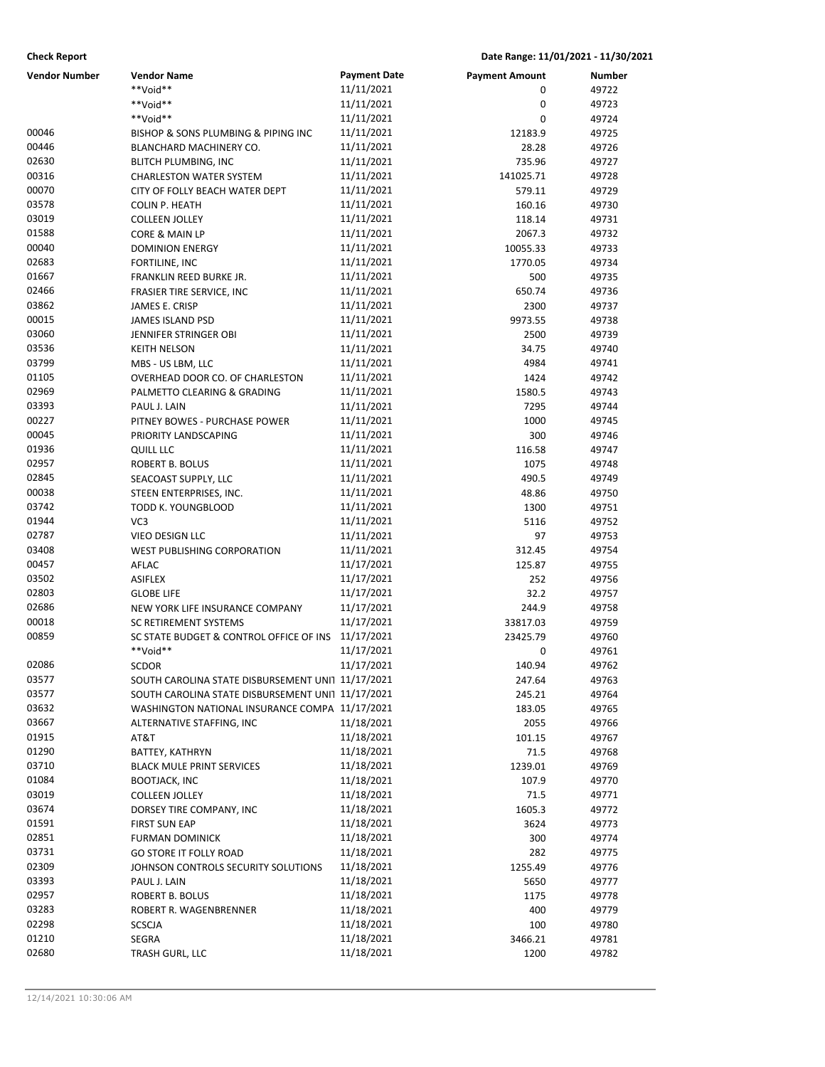| <b>Check Report</b><br>Date Range: 11/01/2021 - 11/30/2021 |                                                         |                          |                       |                |
|------------------------------------------------------------|---------------------------------------------------------|--------------------------|-----------------------|----------------|
| <b>Vendor Number</b>                                       | <b>Vendor Name</b>                                      | <b>Payment Date</b>      | <b>Payment Amount</b> | Number         |
|                                                            | **Void**                                                | 11/11/2021               | 0                     | 49722          |
|                                                            | **Void**                                                | 11/11/2021               | 0                     | 49723          |
|                                                            | **Void**                                                | 11/11/2021               | 0                     | 49724          |
| 00046                                                      | BISHOP & SONS PLUMBING & PIPING INC                     | 11/11/2021               | 12183.9               | 49725          |
| 00446                                                      | BLANCHARD MACHINERY CO.                                 | 11/11/2021               | 28.28                 | 49726          |
| 02630                                                      | <b>BLITCH PLUMBING, INC</b>                             | 11/11/2021               | 735.96                | 49727          |
| 00316                                                      | <b>CHARLESTON WATER SYSTEM</b>                          | 11/11/2021               | 141025.71             | 49728          |
| 00070                                                      | CITY OF FOLLY BEACH WATER DEPT                          | 11/11/2021               | 579.11                | 49729          |
| 03578                                                      | <b>COLIN P. HEATH</b>                                   | 11/11/2021               | 160.16                | 49730          |
| 03019                                                      | <b>COLLEEN JOLLEY</b>                                   | 11/11/2021               | 118.14                | 49731          |
| 01588                                                      | CORE & MAIN LP                                          | 11/11/2021               | 2067.3                | 49732          |
| 00040                                                      | <b>DOMINION ENERGY</b>                                  | 11/11/2021               | 10055.33              | 49733          |
| 02683                                                      | FORTILINE, INC                                          | 11/11/2021               | 1770.05               | 49734          |
| 01667                                                      | FRANKLIN REED BURKE JR.                                 | 11/11/2021               | 500                   | 49735          |
| 02466                                                      | FRASIER TIRE SERVICE, INC                               | 11/11/2021               | 650.74                | 49736          |
| 03862                                                      | JAMES E. CRISP                                          | 11/11/2021               | 2300                  | 49737          |
| 00015                                                      | <b>JAMES ISLAND PSD</b>                                 | 11/11/2021               | 9973.55               | 49738          |
| 03060                                                      | <b>JENNIFER STRINGER OBI</b>                            | 11/11/2021               | 2500                  | 49739          |
| 03536                                                      | <b>KEITH NELSON</b>                                     | 11/11/2021               | 34.75                 | 49740          |
| 03799                                                      | MBS - US LBM, LLC                                       | 11/11/2021               | 4984                  | 49741          |
| 01105                                                      | OVERHEAD DOOR CO. OF CHARLESTON                         | 11/11/2021               | 1424                  | 49742          |
| 02969                                                      | PALMETTO CLEARING & GRADING                             | 11/11/2021               | 1580.5                | 49743          |
| 03393                                                      | PAUL J. LAIN                                            | 11/11/2021               | 7295                  | 49744          |
| 00227                                                      | PITNEY BOWES - PURCHASE POWER                           | 11/11/2021               | 1000                  | 49745          |
| 00045                                                      | PRIORITY LANDSCAPING                                    | 11/11/2021               | 300                   | 49746          |
| 01936                                                      | QUILL LLC                                               | 11/11/2021               | 116.58                | 49747          |
| 02957                                                      | ROBERT B. BOLUS                                         | 11/11/2021               | 1075                  | 49748          |
| 02845                                                      | SEACOAST SUPPLY, LLC                                    | 11/11/2021               | 490.5                 | 49749          |
| 00038                                                      | STEEN ENTERPRISES, INC.                                 | 11/11/2021               | 48.86                 | 49750          |
| 03742                                                      | TODD K. YOUNGBLOOD                                      | 11/11/2021               | 1300                  | 49751          |
| 01944                                                      | VC <sub>3</sub>                                         | 11/11/2021               | 5116                  | 49752          |
| 02787                                                      | <b>VIEO DESIGN LLC</b>                                  | 11/11/2021               | 97                    | 49753          |
| 03408                                                      | <b>WEST PUBLISHING CORPORATION</b>                      | 11/11/2021               | 312.45                | 49754          |
| 00457                                                      | AFLAC                                                   | 11/17/2021               | 125.87                | 49755          |
| 03502                                                      | <b>ASIFLEX</b>                                          | 11/17/2021               | 252                   | 49756          |
| 02803                                                      | <b>GLOBE LIFE</b>                                       | 11/17/2021               | 32.2                  | 49757          |
| 02686                                                      | NEW YORK LIFE INSURANCE COMPANY                         | 11/17/2021               | 244.9                 | 49758          |
| 00018                                                      | <b>SC RETIREMENT SYSTEMS</b>                            | 11/17/2021               | 33817.03              | 49759          |
| 00859                                                      | SC STATE BUDGET & CONTROL OFFICE OF INS                 | 11/17/2021               | 23425.79              | 49760          |
|                                                            | **Void**                                                | 11/17/2021               | 0                     | 49761          |
| 02086                                                      | <b>SCDOR</b>                                            | 11/17/2021               | 140.94                | 49762          |
| 03577<br>03577                                             | SOUTH CAROLINA STATE DISBURSEMENT UNI1 11/17/2021       |                          | 247.64                | 49763          |
|                                                            | SOUTH CAROLINA STATE DISBURSEMENT UNI1 11/17/2021       |                          | 245.21                | 49764          |
| 03632<br>03667                                             | WASHINGTON NATIONAL INSURANCE COMPA 11/17/2021          |                          | 183.05                | 49765          |
| 01915                                                      | ALTERNATIVE STAFFING, INC<br>AT&T                       | 11/18/2021<br>11/18/2021 | 2055                  | 49766          |
| 01290                                                      |                                                         | 11/18/2021               | 101.15                | 49767          |
| 03710                                                      | BATTEY, KATHRYN<br><b>BLACK MULE PRINT SERVICES</b>     | 11/18/2021               | 71.5                  | 49768          |
| 01084                                                      |                                                         | 11/18/2021               | 1239.01               | 49769          |
| 03019                                                      | <b>BOOTJACK, INC</b><br><b>COLLEEN JOLLEY</b>           | 11/18/2021               | 107.9<br>71.5         | 49770<br>49771 |
| 03674                                                      |                                                         | 11/18/2021               | 1605.3                |                |
| 01591                                                      | DORSEY TIRE COMPANY, INC<br><b>FIRST SUN EAP</b>        | 11/18/2021               | 3624                  | 49772<br>49773 |
| 02851                                                      |                                                         | 11/18/2021               | 300                   | 49774          |
| 03731                                                      | <b>FURMAN DOMINICK</b><br><b>GO STORE IT FOLLY ROAD</b> | 11/18/2021               | 282                   | 49775          |
| 02309                                                      | JOHNSON CONTROLS SECURITY SOLUTIONS                     | 11/18/2021               | 1255.49               | 49776          |
| 03393                                                      | PAUL J. LAIN                                            | 11/18/2021               | 5650                  | 49777          |
| 02957                                                      | ROBERT B. BOLUS                                         | 11/18/2021               | 1175                  | 49778          |
| 03283                                                      | ROBERT R. WAGENBRENNER                                  | 11/18/2021               | 400                   | 49779          |
| 02298                                                      | <b>SCSCJA</b>                                           | 11/18/2021               | 100                   | 49780          |
| 01210                                                      | SEGRA                                                   | 11/18/2021               | 3466.21               | 49781          |
| 02680                                                      | TRASH GURL, LLC                                         | 11/18/2021               | 1200                  | 49782          |
|                                                            |                                                         |                          |                       |                |